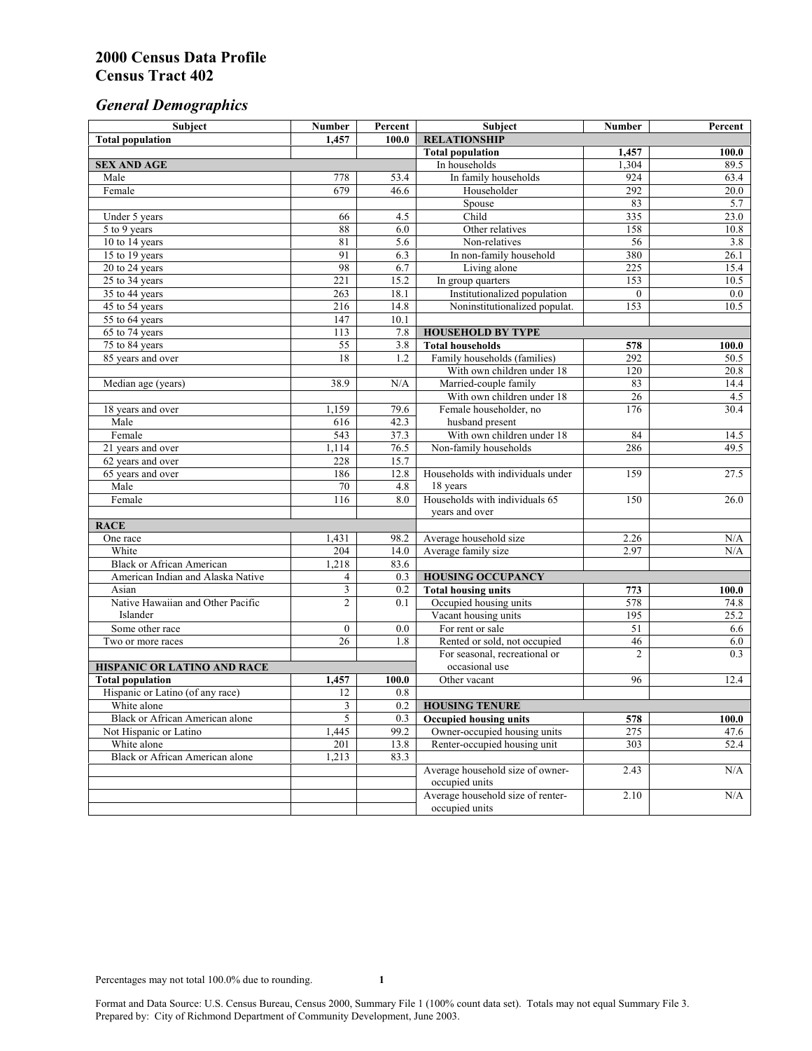# *General Demographics*

| Subject                           | <b>Number</b>         | Percent    | Subject                                                 | <b>Number</b>   | Percent       |
|-----------------------------------|-----------------------|------------|---------------------------------------------------------|-----------------|---------------|
| <b>Total population</b>           | 1,457                 | 100.0      | <b>RELATIONSHIP</b>                                     |                 |               |
|                                   |                       |            | <b>Total population</b>                                 | 1,457           | 100.0         |
| <b>SEX AND AGE</b>                |                       |            | In households                                           | 1,304           | 89.5          |
| Male                              | 778                   | 53.4       | In family households                                    | 924             | 63.4          |
| Female                            | 679                   | 46.6       | Householder                                             | 292             | 20.0          |
|                                   |                       |            | Spouse                                                  | 83              | 5.7           |
| Under 5 years                     | 66                    | 4.5        | Child                                                   | 335             | 23.0          |
| 5 to 9 years                      | 88                    | 6.0        | Other relatives                                         | 158             | 10.8          |
| 10 to 14 years                    | 81                    | 5.6        | Non-relatives                                           | 56              | 3.8           |
| 15 to 19 years                    | 91                    | 6.3        | In non-family household                                 | 380             | 26.1          |
| 20 to 24 years                    | 98                    | 6.7        | Living alone                                            | 225             | 15.4          |
| $25 \text{ to } 34$ years         | 221                   | 15.2       | In group quarters                                       | 153             | 10.5          |
| 35 to 44 years                    | 263                   | 18.1       | Institutionalized population                            | $\theta$        | 0.0           |
| 45 to 54 years                    | 216                   | 14.8       | Noninstitutionalized populat.                           | 153             | 10.5          |
| 55 to 64 years                    | 147                   | 10.1       |                                                         |                 |               |
| 65 to 74 years                    | 113                   | 7.8        | <b>HOUSEHOLD BY TYPE</b>                                |                 |               |
| 75 to 84 years                    | 55<br>$\overline{18}$ | 3.8<br>1.2 | <b>Total households</b><br>Family households (families) | 578<br>292      | 100.0<br>50.5 |
| 85 years and over                 |                       |            | With own children under 18                              | 120             | 20.8          |
|                                   | 38.9                  | N/A        | Married-couple family                                   | 83              | 14.4          |
| Median age (years)                |                       |            | With own children under 18                              | $\overline{26}$ | 4.5           |
| 18 years and over                 | 1,159                 | 79.6       | Female householder, no                                  | 176             | 30.4          |
| Male                              | 616                   | 42.3       | husband present                                         |                 |               |
| Female                            | 543                   | 37.3       | With own children under 18                              | 84              | 14.5          |
| 21 years and over                 | 1,114                 | 76.5       | Non-family households                                   | 286             | 49.5          |
| 62 years and over                 | 228                   | 15.7       |                                                         |                 |               |
| 65 years and over                 | 186                   | 12.8       | Households with individuals under                       | 159             | 27.5          |
| Male                              | 70                    | 4.8        | 18 years                                                |                 |               |
| Female                            | 116                   | 8.0        | Households with individuals 65                          | 150             | 26.0          |
|                                   |                       |            | years and over                                          |                 |               |
| <b>RACE</b>                       |                       |            |                                                         |                 |               |
| One race                          | 1,431                 | 98.2       | Average household size                                  | 2.26            | $\rm N/A$     |
| White                             | 204                   | 14.0       | Average family size                                     | 2.97            | N/A           |
| <b>Black or African American</b>  | 1,218                 | 83.6       |                                                         |                 |               |
| American Indian and Alaska Native | 4                     | 0.3        | <b>HOUSING OCCUPANCY</b>                                |                 |               |
| Asian                             | 3                     | 0.2        | <b>Total housing units</b>                              | 773             | 100.0         |
| Native Hawaiian and Other Pacific | $\overline{c}$        | 0.1        | Occupied housing units                                  | 578             | 74.8          |
| Islander                          |                       |            | Vacant housing units                                    | 195             | 25.2          |
| Some other race                   | $\boldsymbol{0}$      | 0.0        | For rent or sale                                        | 51              | 6.6           |
| Two or more races                 | $\overline{26}$       | 1.8        | Rented or sold, not occupied                            | 46              | 6.0           |
|                                   |                       |            | For seasonal, recreational or                           | $\overline{c}$  | 0.3           |
| HISPANIC OR LATINO AND RACE       |                       |            | occasional use                                          |                 |               |
| <b>Total population</b>           | 1,457                 | 100.0      | Other vacant                                            | 96              | 12.4          |
| Hispanic or Latino (of any race)  | 12                    | 0.8        |                                                         |                 |               |
| White alone                       | 3                     | 0.2        | <b>HOUSING TENURE</b>                                   |                 |               |
| Black or African American alone   | 5                     | 0.3        | <b>Occupied housing units</b>                           | 578             | 100.0         |
| Not Hispanic or Latino            | 1,445                 | 99.2       | Owner-occupied housing units                            | 275             | 47.6          |
| White alone                       | 201                   | 13.8       | Renter-occupied housing unit                            | 303             | 52.4          |
| Black or African American alone   | 1,213                 | 83.3       |                                                         |                 |               |
|                                   |                       |            | Average household size of owner-                        | 2.43            | N/A           |
|                                   |                       |            | occupied units                                          |                 |               |
|                                   |                       |            | Average household size of renter-                       | 2.10            | N/A           |
|                                   |                       |            | occupied units                                          |                 |               |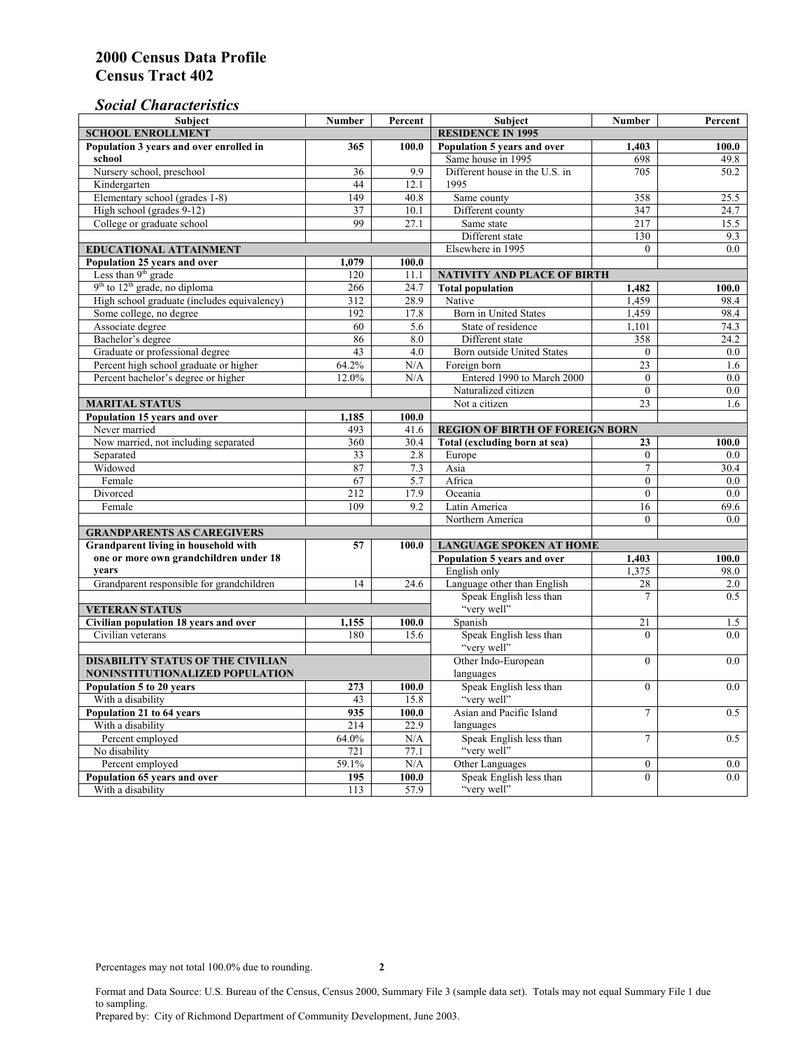## *Social Characteristics*

| <b>Subject</b>                                      | <b>Number</b>            | Percent       | <b>Subject</b>                         | <b>Number</b>    | Percent          |
|-----------------------------------------------------|--------------------------|---------------|----------------------------------------|------------------|------------------|
| <b>SCHOOL ENROLLMENT</b>                            | <b>RESIDENCE IN 1995</b> |               |                                        |                  |                  |
| Population 3 years and over enrolled in             | 365                      | 100.0         | Population 5 years and over            | 1,403            | 100.0            |
| school                                              |                          |               | Same house in 1995                     | 698              | 49.8             |
| Nursery school, preschool                           | 36                       | 9.9           | Different house in the U.S. in         | 705              | 50.2             |
| Kindergarten                                        | 44                       | 12.1          | 1995                                   |                  |                  |
| Elementary school (grades 1-8)                      | 149                      | 40.8          | Same county                            | 358              | 25.5             |
| High school (grades 9-12)                           | 37                       | 10.1          | Different county                       | 347              | 24.7             |
| College or graduate school                          | 99                       | 27.1          | Same state                             | 217              | 15.5             |
|                                                     |                          |               | Different state                        | 130              | $9.\overline{3}$ |
| <b>EDUCATIONAL ATTAINMENT</b>                       |                          |               | Elsewhere in 1995                      | $\Omega$         | 0.0              |
| Population 25 years and over                        | 1,079                    | 100.0         |                                        |                  |                  |
| Less than 9 <sup>th</sup> grade                     | 120                      | 11.1          | NATIVITY AND PLACE OF BIRTH            |                  |                  |
| $9th$ to $12th$ grade, no diploma                   | 266                      | 24.7          | <b>Total population</b>                | 1,482            | 100.0            |
| High school graduate (includes equivalency)         | 312                      | 28.9          | Native                                 | 1.459            | 98.4             |
| Some college, no degree                             | 192                      | 17.8          | <b>Born</b> in United States           | 1,459            | 98.4             |
| Associate degree                                    | 60                       | 5.6           | State of residence                     | 1,101            | 74.3             |
| Bachelor's degree                                   | 86                       | 8.0           | Different state                        | 358              | 24.2             |
| Graduate or professional degree                     | 43                       | 4.0           | Born outside United States             | $\mathbf{0}$     | $0.0\,$          |
| Percent high school graduate or higher              | 64.2%                    | N/A           | Foreign born                           | 23               | 1.6              |
| Percent bachelor's degree or higher                 | 12.0%                    | N/A           | Entered 1990 to March 2000             | $\overline{0}$   | 0.0              |
|                                                     |                          |               | Naturalized citizen                    | $\overline{0}$   | $0.0\,$          |
| <b>MARITAL STATUS</b>                               |                          |               | Not a citizen                          | 23               | 1.6              |
| Population 15 years and over                        | 1,185                    | 100.0         |                                        |                  |                  |
| Never married                                       | 493                      | 41.6          | <b>REGION OF BIRTH OF FOREIGN BORN</b> |                  |                  |
| Now married, not including separated                | 360                      | 30.4          | Total (excluding born at sea)          | 23               | 100.0            |
| Separated                                           | 33                       | 2.8           | Europe                                 | $\overline{0}$   | 0.0              |
| Widowed                                             | 87                       | 7.3           | Asia                                   | 7                | 30.4             |
| Female                                              | 67                       | 5.7           | Africa                                 | $\theta$         | 0.0              |
| Divorced                                            | 212                      | 17.9          | Oceania                                | $\theta$         | 0.0              |
| Female                                              | 109                      | 9.2           | Latin America                          | 16               | 69.6             |
|                                                     |                          |               | Northern America                       | $\theta$         | 0.0              |
| <b>GRANDPARENTS AS CAREGIVERS</b>                   |                          |               |                                        |                  |                  |
| Grandparent living in household with<br>57<br>100.0 |                          |               | <b>LANGUAGE SPOKEN AT HOME</b>         |                  |                  |
| one or more own grandchildren under 18              |                          |               | Population 5 years and over            | 1,403            | 100.0            |
| years                                               |                          |               | English only                           | 1,375            | 98.0             |
| Grandparent responsible for grandchildren           | 14                       | 24.6          | Language other than English            | 28               | 2.0              |
|                                                     |                          |               | Speak English less than                | $\overline{7}$   | 0.5              |
| <b>VETERAN STATUS</b>                               |                          |               | "very well"                            |                  |                  |
| Civilian population 18 years and over               | 1,155                    | 100.0         | Spanish                                | 21               | 1.5              |
| Civilian veterans                                   | 180                      | 15.6          | Speak English less than<br>"very well" | $\theta$         | 0.0              |
| <b>DISABILITY STATUS OF THE CIVILIAN</b>            |                          |               | Other Indo-European                    | $\theta$         | 0.0              |
| NONINSTITUTIONALIZED POPULATION                     | languages                |               |                                        |                  |                  |
| Population 5 to 20 years                            | Speak English less than  | $\mathbf{0}$  | 0.0                                    |                  |                  |
| With a disability                                   | 273<br>43                | 100.0<br>15.8 | "very well"                            |                  |                  |
| Population 21 to 64 years                           | 935                      | 100.0         | Asian and Pacific Island               | $\tau$           | 0.5              |
| With a disability                                   | 214                      | 22.9          | languages                              |                  |                  |
| Percent employed                                    | 64.0%                    | N/A           | Speak English less than                | $\tau$           | 0.5              |
| No disability                                       | 721                      | 77.1          | "very well"                            |                  |                  |
| Percent employed                                    | 59.1%                    | N/A           | Other Languages                        | $\boldsymbol{0}$ | $0.0\,$          |
| Population 65 years and over                        | 195                      | 100.0         | Speak English less than                | $\mathbf{0}$     | 0.0              |
| With a disability                                   | 113                      | 57.9          | "very well"                            |                  |                  |

Format and Data Source: U.S. Bureau of the Census, Census 2000, Summary File 3 (sample data set). Totals may not equal Summary File 1 due to sampling.

Prepared by: City of Richmond Department of Community Development, June 2003.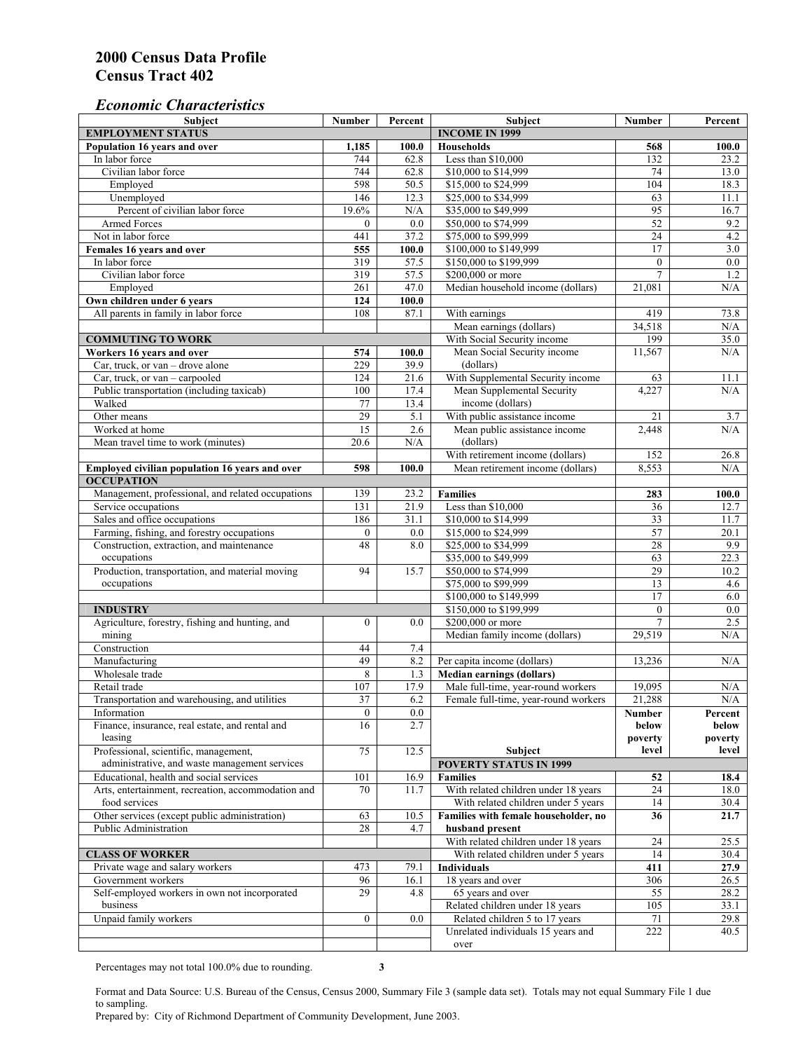### *Economic Characteristics*

| <b>Subject</b>                                                | Number           | Percent     | Subject                                                                | Number           | Percent          |
|---------------------------------------------------------------|------------------|-------------|------------------------------------------------------------------------|------------------|------------------|
| <b>EMPLOYMENT STATUS</b>                                      |                  |             | <b>INCOME IN 1999</b>                                                  |                  |                  |
| Population 16 years and over                                  | 1,185            | 100.0       | <b>Households</b>                                                      | 568              | 100.0            |
| In labor force                                                | 744              | 62.8        | Less than \$10,000                                                     | 132              | 23.2             |
| Civilian labor force                                          | 744              | 62.8        | \$10,000 to \$14,999                                                   | 74               | 13.0             |
| Employed                                                      | 598              | 50.5        | \$15,000 to \$24,999                                                   | 104              | 18.3             |
| Unemployed                                                    | 146              | 12.3        | \$25,000 to \$34,999                                                   | 63               | 11.1             |
| Percent of civilian labor force                               | 19.6%            | N/A         | \$35,000 to \$49,999                                                   | 95               | 16.7             |
| Armed Forces                                                  | $\mathbf{0}$     | 0.0         | \$50,000 to \$74,999                                                   | $\overline{52}$  | 9.2              |
| Not in labor force                                            | 441              | 37.2        | \$75,000 to \$99,999                                                   | 24               | 4.2              |
| Females 16 years and over                                     | 555              | 100.0       | \$100,000 to \$149,999                                                 | 17               | 3.0              |
| In labor force                                                | 319              | 57.5        | \$150,000 to \$199,999                                                 | $\mathbf{0}$     | $\overline{0.0}$ |
| Civilian labor force                                          | 319              | 57.5        | \$200,000 or more                                                      | $\overline{7}$   | 1.2              |
| Employed                                                      | 261              | 47.0        | Median household income (dollars)                                      | 21.081           | N/A              |
| Own children under 6 years                                    | 124              | 100.0       |                                                                        |                  |                  |
| All parents in family in labor force                          | 108              | 87.1        | With earnings                                                          | 419              | 73.8             |
|                                                               |                  |             | Mean earnings (dollars)                                                | 34,518           | N/A              |
| <b>COMMUTING TO WORK</b>                                      |                  |             | With Social Security income                                            | 199              | 35.0             |
| Workers 16 years and over                                     | 574              | 100.0       | Mean Social Security income                                            | 11,567           | N/A              |
| Car, truck, or van – drove alone                              | 229              | 39.9        | (dollars)                                                              |                  |                  |
| Car, truck, or van - carpooled                                | 124              | 21.6        | With Supplemental Security income                                      | 63               | 11.1             |
| Public transportation (including taxicab)                     | 100              | 17.4        | Mean Supplemental Security                                             | 4,227            | N/A              |
| Walked                                                        | 77               | 13.4        | income (dollars)                                                       |                  |                  |
| Other means                                                   | 29               | 5.1         | With public assistance income                                          | 21               | 3.7              |
| Worked at home                                                | $\overline{15}$  | 2.6         | Mean public assistance income                                          | 2,448            | N/A              |
| Mean travel time to work (minutes)                            | 20.6             | N/A         | (dollars)                                                              |                  |                  |
|                                                               |                  |             | With retirement income (dollars)                                       | 152              | 26.8             |
| Employed civilian population 16 years and over                | 598              | 100.0       | Mean retirement income (dollars)                                       | 8,553            | N/A              |
| <b>OCCUPATION</b>                                             |                  |             |                                                                        |                  |                  |
| Management, professional, and related occupations             | 139              | 23.2        | <b>Families</b>                                                        | 283              | 100.0            |
| Service occupations                                           | 131              | 21.9        | Less than \$10,000                                                     | 36               | 12.7             |
| Sales and office occupations                                  | 186              | 31.1        | \$10,000 to \$14,999                                                   | 33               | 11.7             |
| Farming, fishing, and forestry occupations                    | $\boldsymbol{0}$ | 0.0         | \$15,000 to \$24,999                                                   | 57               | 20.1             |
| Construction, extraction, and maintenance                     | 48               | 8.0         | \$25,000 to \$34,999                                                   | 28               | 9.9              |
| occupations                                                   |                  |             | \$35,000 to \$49,999                                                   | 63               | 22.3             |
| Production, transportation, and material moving               | 94               | 15.7        | \$50,000 to \$74,999                                                   | 29               | 10.2             |
| occupations                                                   |                  |             | \$75,000 to \$99,999                                                   | 13               | 4.6              |
|                                                               |                  |             | \$100,000 to \$149,999                                                 | 17               | 6.0              |
| <b>INDUSTRY</b>                                               |                  |             | \$150,000 to \$199,999                                                 | $\mathbf{0}$     | 0.0              |
| Agriculture, forestry, fishing and hunting, and               | $\boldsymbol{0}$ | 0.0         | \$200,000 or more                                                      | $\overline{7}$   | 2.5              |
| mining                                                        |                  |             | Median family income (dollars)                                         | 29,519           | N/A              |
| Construction                                                  | 44               | 7.4         |                                                                        |                  |                  |
| Manufacturing                                                 | 49               | 8.2         | Per capita income (dollars)                                            | 13,236           | N/A              |
| Wholesale trade                                               | 8                |             |                                                                        |                  |                  |
|                                                               | 107              | 1.3         | <b>Median earnings (dollars)</b><br>Male full-time, year-round workers | 19.095           |                  |
| Retail trade<br>Transportation and warehousing, and utilities | 37               | 17.9<br>6.2 | Female full-time, year-round workers                                   | 21.288           | N/A<br>N/A       |
|                                                               |                  |             |                                                                        |                  |                  |
| Information                                                   | $\boldsymbol{0}$ | 0.0         |                                                                        | Number           | Percent          |
| Finance, insurance, real estate, and rental and               | 16               | 2.7         |                                                                        | below            | below<br>poverty |
| leasing                                                       | 75               | 12.5        |                                                                        | poverty<br>level | level            |
| Professional, scientific, management,                         |                  |             | Subject<br><b>POVERTY STATUS IN 1999</b>                               |                  |                  |
| administrative, and waste management services                 |                  |             |                                                                        |                  |                  |
| Educational, health and social services                       | 101              | 16.9        | <b>Families</b>                                                        | 52               | 18.4             |
| Arts, entertainment, recreation, accommodation and            | 70               | 11.7        | With related children under 18 years                                   | 24               | 18.0             |
| food services                                                 |                  |             | With related children under 5 years                                    | 14               | 30.4             |
| Other services (except public administration)                 | 63               | 10.5        | Families with female householder, no                                   | 36               | 21.7             |
| Public Administration                                         | 28               | 4.7         | husband present                                                        |                  |                  |
|                                                               |                  |             | With related children under 18 years                                   | 24               | 25.5             |
| <b>CLASS OF WORKER</b>                                        |                  |             | With related children under 5 years                                    | 14               | 30.4             |
| Private wage and salary workers                               | 473              | 79.1        | Individuals                                                            | 411              | 27.9             |
| Government workers                                            | 96               | 16.1        | 18 years and over                                                      | 306              | 26.5             |
| Self-employed workers in own not incorporated                 | 29               | 4.8         | 65 years and over                                                      | 55               | 28.2             |
| business                                                      |                  |             | Related children under 18 years                                        | 105              | 33.1             |
| Unpaid family workers                                         | $\mathbf{0}$     | 0.0         | Related children 5 to 17 years                                         | 71               | 29.8             |
|                                                               |                  |             | Unrelated individuals 15 years and                                     | 222              | 40.5             |
|                                                               |                  |             | over                                                                   |                  |                  |

Percentages may not total 100.0% due to rounding. **3** 

Format and Data Source: U.S. Bureau of the Census, Census 2000, Summary File 3 (sample data set). Totals may not equal Summary File 1 due to sampling.

Prepared by: City of Richmond Department of Community Development, June 2003.